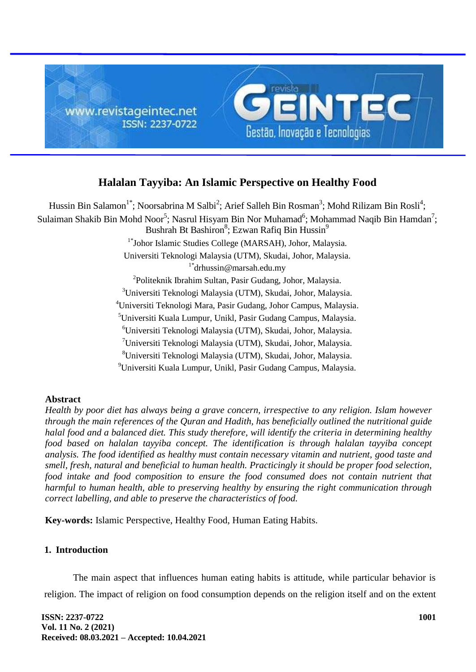

# **Halalan Tayyiba: An Islamic Perspective on Healthy Food**

Hussin Bin Salamon<sup>1\*</sup>; Noorsabrina M Salbi<sup>2</sup>; Arief Salleh Bin Rosman<sup>3</sup>; Mohd Rilizam Bin Rosli<sup>4</sup>; Sulaiman Shakib Bin Mohd Noor $^5$ ; Nasrul Hisyam Bin Nor Muhamad $^6$ ; Mohammad Naqib Bin Hamdan $^7$ ; Bushrah Bt Bashiron<sup>8</sup>; Ezwan Rafiq Bin Hussin<sup>9</sup> 1\* Johor Islamic Studies College (MARSAH), Johor, Malaysia. Universiti Teknologi Malaysia (UTM), Skudai, Johor, Malaysia.  $1^*$ drhussin@marsah.edu.my 2 Politeknik Ibrahim Sultan, Pasir Gudang, Johor, Malaysia. <sup>3</sup>Universiti Teknologi Malaysia (UTM), Skudai, Johor, Malaysia. <sup>4</sup>Universiti Teknologi Mara, Pasir Gudang, Johor Campus, Malaysia. <sup>5</sup>Universiti Kuala Lumpur, Unikl, Pasir Gudang Campus, Malaysia. <sup>6</sup>Universiti Teknologi Malaysia (UTM), Skudai, Johor, Malaysia. <sup>7</sup>Universiti Teknologi Malaysia (UTM), Skudai, Johor, Malaysia. <sup>8</sup>Universiti Teknologi Malaysia (UTM), Skudai, Johor, Malaysia. <sup>9</sup>Universiti Kuala Lumpur, Unikl, Pasir Gudang Campus, Malaysia.

## **Abstract**

*Health by poor diet has always being a grave concern, irrespective to any religion. Islam however through the main references of the Quran and Hadith, has beneficially outlined the nutritional guide halal food and a balanced diet. This study therefore, will identify the criteria in determining healthy food based on halalan tayyiba concept. The identification is through halalan tayyiba concept analysis. The food identified as healthy must contain necessary vitamin and nutrient, good taste and smell, fresh, natural and beneficial to human health. Practicingly it should be proper food selection,*  food intake and food composition to ensure the food consumed does not contain nutrient that *harmful to human health, able to preserving healthy by ensuring the right communication through correct labelling, and able to preserve the characteristics of food.*

**Key-words:** Islamic Perspective, Healthy Food, Human Eating Habits.

## **1. Introduction**

The main aspect that influences human eating habits is attitude, while particular behavior is religion. The impact of religion on food consumption depends on the religion itself and on the extent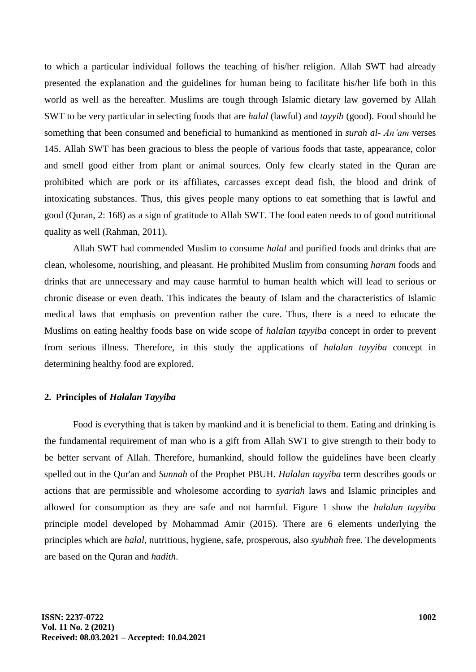to which a particular individual follows the teaching of his/her religion. Allah SWT had already presented the explanation and the guidelines for human being to facilitate his/her life both in this world as well as the hereafter. Muslims are tough through Islamic dietary law governed by Allah SWT to be very particular in selecting foods that are *halal* (lawful) and *tayyib* (good). Food should be something that been consumed and beneficial to humankind as mentioned in *surah al- An'am* verses 145. Allah SWT has been gracious to bless the people of various foods that taste, appearance, color and smell good either from plant or animal sources. Only few clearly stated in the Quran are prohibited which are pork or its affiliates, carcasses except dead fish, the blood and drink of intoxicating substances. Thus, this gives people many options to eat something that is lawful and good (Quran, 2: 168) as a sign of gratitude to Allah SWT. The food eaten needs to of good nutritional quality as well (Rahman, 2011).

Allah SWT had commended Muslim to consume *halal* and purified foods and drinks that are clean, wholesome, nourishing, and pleasant. He prohibited Muslim from consuming *haram* foods and drinks that are unnecessary and may cause harmful to human health which will lead to serious or chronic disease or even death. This indicates the beauty of Islam and the characteristics of Islamic medical laws that emphasis on prevention rather the cure. Thus, there is a need to educate the Muslims on eating healthy foods base on wide scope of *halalan tayyiba* concept in order to prevent from serious illness. Therefore, in this study the applications of *halalan tayyiba* concept in determining healthy food are explored.

## **2. Principles of** *Halalan Tayyiba*

Food is everything that is taken by mankind and it is beneficial to them. Eating and drinking is the fundamental requirement of man who is a gift from Allah SWT to give strength to their body to be better servant of Allah. Therefore, humankind, should follow the guidelines have been clearly spelled out in the Qur'an and *Sunnah* of the Prophet PBUH. *Halalan tayyiba* term describes goods or actions that are permissible and wholesome according to *syariah* laws and Islamic principles and allowed for consumption as they are safe and not harmful. Figure 1 show the *halalan tayyiba* principle model developed by Mohammad Amir (2015). There are 6 elements underlying the principles which are *halal*, nutritious, hygiene, safe, prosperous, also *syubhah* free. The developments are based on the Quran and *hadith*.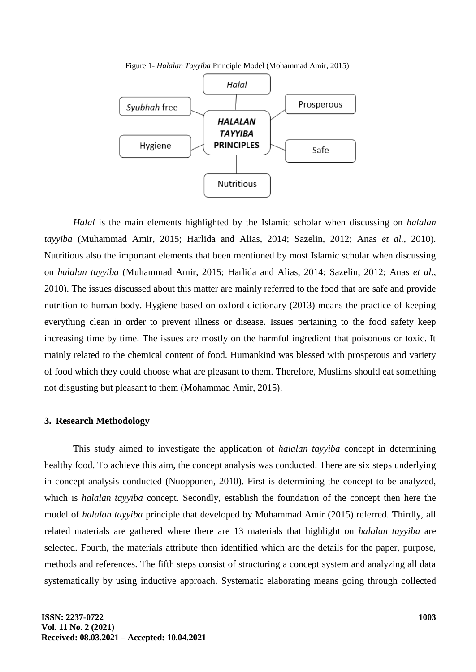



*Halal* is the main elements highlighted by the Islamic scholar when discussing on *halalan tayyiba* (Muhammad Amir, 2015; Harlida and Alias, 2014; Sazelin, 2012; Anas *et al.,* 2010). Nutritious also the important elements that been mentioned by most Islamic scholar when discussing on *halalan tayyiba* (Muhammad Amir, 2015; Harlida and Alias, 2014; Sazelin, 2012; Anas *et al*., 2010). The issues discussed about this matter are mainly referred to the food that are safe and provide nutrition to human body. Hygiene based on oxford dictionary (2013) means the practice of keeping everything clean in order to prevent illness or disease. Issues pertaining to the food safety keep increasing time by time. The issues are mostly on the harmful ingredient that poisonous or toxic. It mainly related to the chemical content of food. Humankind was blessed with prosperous and variety of food which they could choose what are pleasant to them. Therefore, Muslims should eat something not disgusting but pleasant to them (Mohammad Amir, 2015).

#### **3. Research Methodology**

This study aimed to investigate the application of *halalan tayyiba* concept in determining healthy food. To achieve this aim, the concept analysis was conducted. There are six steps underlying in concept analysis conducted (Nuopponen, 2010). First is determining the concept to be analyzed, which is *halalan tayyiba* concept. Secondly, establish the foundation of the concept then here the model of *halalan tayyiba* principle that developed by Muhammad Amir (2015) referred. Thirdly, all related materials are gathered where there are 13 materials that highlight on *halalan tayyiba* are selected. Fourth, the materials attribute then identified which are the details for the paper, purpose, methods and references. The fifth steps consist of structuring a concept system and analyzing all data systematically by using inductive approach. Systematic elaborating means going through collected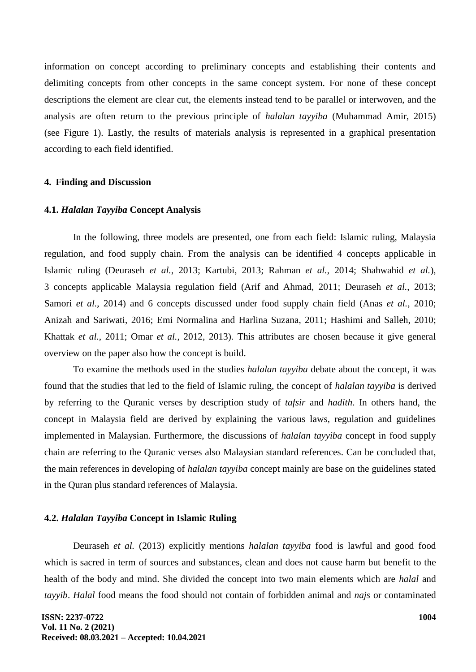information on concept according to preliminary concepts and establishing their contents and delimiting concepts from other concepts in the same concept system. For none of these concept descriptions the element are clear cut, the elements instead tend to be parallel or interwoven, and the analysis are often return to the previous principle of *halalan tayyiba* (Muhammad Amir, 2015) (see Figure 1). Lastly, the results of materials analysis is represented in a graphical presentation according to each field identified.

## **4. Finding and Discussion**

#### **4.1.** *Halalan Tayyiba* **Concept Analysis**

In the following, three models are presented, one from each field: Islamic ruling, Malaysia regulation, and food supply chain. From the analysis can be identified 4 concepts applicable in Islamic ruling (Deuraseh *et al.*, 2013; Kartubi, 2013; Rahman *et al.*, 2014; Shahwahid *et al.*), 3 concepts applicable Malaysia regulation field (Arif and Ahmad, 2011; Deuraseh *et al.*, 2013; Samori *et al.*, 2014) and 6 concepts discussed under food supply chain field (Anas *et al.*, 2010; Anizah and Sariwati, 2016; Emi Normalina and Harlina Suzana, 2011; Hashimi and Salleh, 2010; Khattak *et al.*, 2011; Omar *et al.*, 2012, 2013). This attributes are chosen because it give general overview on the paper also how the concept is build.

To examine the methods used in the studies *halalan tayyiba* debate about the concept, it was found that the studies that led to the field of Islamic ruling, the concept of *halalan tayyiba* is derived by referring to the Quranic verses by description study of *tafsir* and *hadith*. In others hand, the concept in Malaysia field are derived by explaining the various laws, regulation and guidelines implemented in Malaysian. Furthermore, the discussions of *halalan tayyiba* concept in food supply chain are referring to the Quranic verses also Malaysian standard references. Can be concluded that, the main references in developing of *halalan tayyiba* concept mainly are base on the guidelines stated in the Quran plus standard references of Malaysia.

#### **4.2.** *Halalan Tayyiba* **Concept in Islamic Ruling**

Deuraseh *et al.* (2013) explicitly mentions *halalan tayyiba* food is lawful and good food which is sacred in term of sources and substances, clean and does not cause harm but benefit to the health of the body and mind. She divided the concept into two main elements which are *halal* and *tayyib*. *Halal* food means the food should not contain of forbidden animal and *najs* or contaminated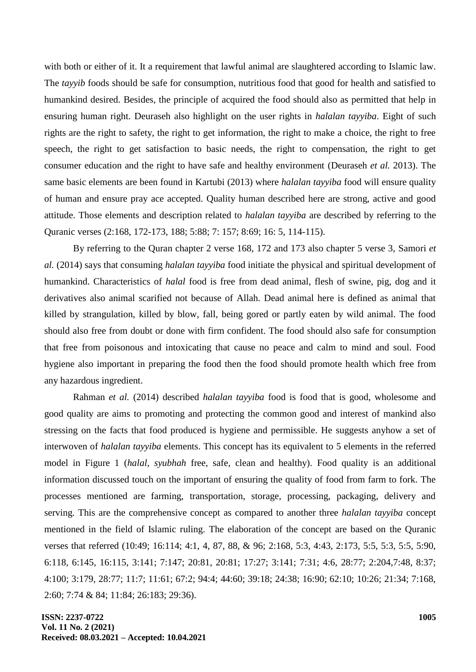with both or either of it. It a requirement that lawful animal are slaughtered according to Islamic law. The *tayyib* foods should be safe for consumption, nutritious food that good for health and satisfied to humankind desired. Besides, the principle of acquired the food should also as permitted that help in ensuring human right. Deuraseh also highlight on the user rights in *halalan tayyiba*. Eight of such rights are the right to safety, the right to get information, the right to make a choice, the right to free speech, the right to get satisfaction to basic needs, the right to compensation, the right to get consumer education and the right to have safe and healthy environment (Deuraseh *et al.* 2013). The same basic elements are been found in Kartubi (2013) where *halalan tayyiba* food will ensure quality of human and ensure pray ace accepted. Quality human described here are strong, active and good attitude. Those elements and description related to *halalan tayyiba* are described by referring to the Quranic verses (2:168, 172-173, 188; 5:88; 7: 157; 8:69; 16: 5, 114-115).

By referring to the Quran chapter 2 verse 168, 172 and 173 also chapter 5 verse 3, Samori *et al.* (2014) says that consuming *halalan tayyiba* food initiate the physical and spiritual development of humankind. Characteristics of *halal* food is free from dead animal, flesh of swine, pig, dog and it derivatives also animal scarified not because of Allah. Dead animal here is defined as animal that killed by strangulation, killed by blow, fall, being gored or partly eaten by wild animal. The food should also free from doubt or done with firm confident. The food should also safe for consumption that free from poisonous and intoxicating that cause no peace and calm to mind and soul. Food hygiene also important in preparing the food then the food should promote health which free from any hazardous ingredient.

Rahman *et al.* (2014) described *halalan tayyiba* food is food that is good, wholesome and good quality are aims to promoting and protecting the common good and interest of mankind also stressing on the facts that food produced is hygiene and permissible. He suggests anyhow a set of interwoven of *halalan tayyiba* elements. This concept has its equivalent to 5 elements in the referred model in Figure 1 (*halal*, *syubhah* free, safe, clean and healthy). Food quality is an additional information discussed touch on the important of ensuring the quality of food from farm to fork. The processes mentioned are farming, transportation, storage, processing, packaging, delivery and serving. This are the comprehensive concept as compared to another three *halalan tayyiba* concept mentioned in the field of Islamic ruling. The elaboration of the concept are based on the Quranic verses that referred (10:49; 16:114; 4:1, 4, 87, 88, & 96; 2:168, 5:3, 4:43, 2:173, 5:5, 5:3, 5:5, 5:90, 6:118, 6:145, 16:115, 3:141; 7:147; 20:81, 20:81; 17:27; 3:141; 7:31; 4:6, 28:77; 2:204,7:48, 8:37; 4:100; 3:179, 28:77; 11:7; 11:61; 67:2; 94:4; 44:60; 39:18; 24:38; 16:90; 62:10; 10:26; 21:34; 7:168, 2:60; 7:74 & 84; 11:84; 26:183; 29:36).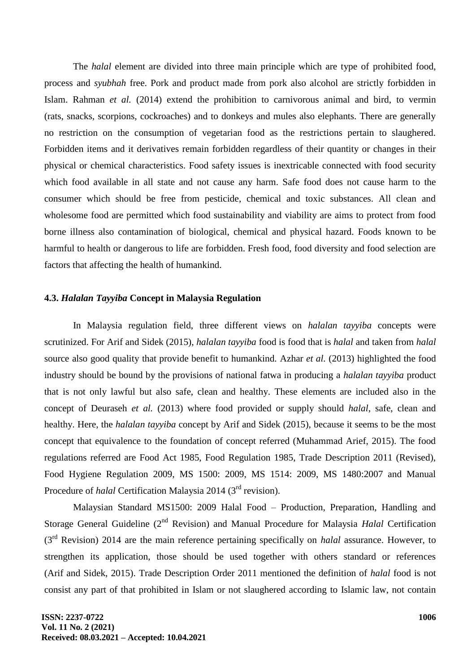The *halal* element are divided into three main principle which are type of prohibited food, process and *syubhah* free. Pork and product made from pork also alcohol are strictly forbidden in Islam. Rahman *et al.* (2014) extend the prohibition to carnivorous animal and bird, to vermin (rats, snacks, scorpions, cockroaches) and to donkeys and mules also elephants. There are generally no restriction on the consumption of vegetarian food as the restrictions pertain to slaughered. Forbidden items and it derivatives remain forbidden regardless of their quantity or changes in their physical or chemical characteristics. Food safety issues is inextricable connected with food security which food available in all state and not cause any harm. Safe food does not cause harm to the consumer which should be free from pesticide, chemical and toxic substances. All clean and wholesome food are permitted which food sustainability and viability are aims to protect from food borne illness also contamination of biological, chemical and physical hazard. Foods known to be harmful to health or dangerous to life are forbidden. Fresh food, food diversity and food selection are factors that affecting the health of humankind.

#### **4.3.** *Halalan Tayyiba* **Concept in Malaysia Regulation**

In Malaysia regulation field, three different views on *halalan tayyiba* concepts were scrutinized. For Arif and Sidek (2015), *halalan tayyiba* food is food that is *halal* and taken from *halal* source also good quality that provide benefit to humankind. Azhar *et al.* (2013) highlighted the food industry should be bound by the provisions of national fatwa in producing a *halalan tayyiba* product that is not only lawful but also safe, clean and healthy. These elements are included also in the concept of Deuraseh *et al.* (2013) where food provided or supply should *halal*, safe, clean and healthy. Here, the *halalan tayyiba* concept by Arif and Sidek (2015), because it seems to be the most concept that equivalence to the foundation of concept referred (Muhammad Arief, 2015). The food regulations referred are Food Act 1985, Food Regulation 1985, Trade Description 2011 (Revised), Food Hygiene Regulation 2009, MS 1500: 2009, MS 1514: 2009, MS 1480:2007 and Manual Procedure of *halal* Certification Malaysia 2014 (3<sup>rd</sup> revision).

Malaysian Standard MS1500: 2009 Halal Food – Production, Preparation, Handling and Storage General Guideline (2nd Revision) and Manual Procedure for Malaysia *Halal* Certification (3rd Revision) 2014 are the main reference pertaining specifically on *halal* assurance. However, to strengthen its application, those should be used together with others standard or references (Arif and Sidek, 2015). Trade Description Order 2011 mentioned the definition of *halal* food is not consist any part of that prohibited in Islam or not slaughered according to Islamic law, not contain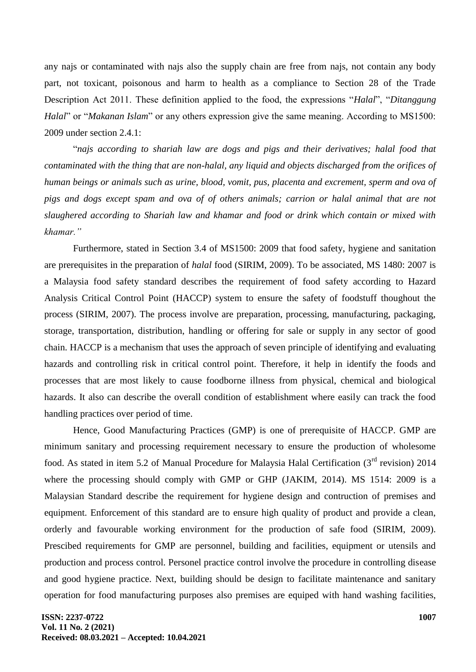any najs or contaminated with najs also the supply chain are free from najs, not contain any body part, not toxicant, poisonous and harm to health as a compliance to Section 28 of the Trade Description Act 2011. These definition applied to the food, the expressions "*Halal*", "*Ditanggung Halal*" or "*Makanan Islam*" or any others expression give the same meaning. According to MS1500: 2009 under section 2.4.1:

―*najs according to shariah law are dogs and pigs and their derivatives; halal food that contaminated with the thing that are non-halal, any liquid and objects discharged from the orifices of human beings or animals such as urine, blood, vomit, pus, placenta and excrement, sperm and ova of pigs and dogs except spam and ova of of others animals; carrion or halal animal that are not slaughered according to Shariah law and khamar and food or drink which contain or mixed with khamar."*

Furthermore, stated in Section 3.4 of MS1500: 2009 that food safety, hygiene and sanitation are prerequisites in the preparation of *halal* food (SIRIM, 2009). To be associated, MS 1480: 2007 is a Malaysia food safety standard describes the requirement of food safety according to Hazard Analysis Critical Control Point (HACCP) system to ensure the safety of foodstuff thoughout the process (SIRIM, 2007). The process involve are preparation, processing, manufacturing, packaging, storage, transportation, distribution, handling or offering for sale or supply in any sector of good chain. HACCP is a mechanism that uses the approach of seven principle of identifying and evaluating hazards and controlling risk in critical control point. Therefore, it help in identify the foods and processes that are most likely to cause foodborne illness from physical, chemical and biological hazards. It also can describe the overall condition of establishment where easily can track the food handling practices over period of time.

Hence, Good Manufacturing Practices (GMP) is one of prerequisite of HACCP. GMP are minimum sanitary and processing requirement necessary to ensure the production of wholesome food. As stated in item 5.2 of Manual Procedure for Malaysia Halal Certification  $(3<sup>rd</sup>$  revision) 2014 where the processing should comply with GMP or GHP (JAKIM, 2014). MS 1514: 2009 is a Malaysian Standard describe the requirement for hygiene design and contruction of premises and equipment. Enforcement of this standard are to ensure high quality of product and provide a clean, orderly and favourable working environment for the production of safe food (SIRIM, 2009). Prescibed requirements for GMP are personnel, building and facilities, equipment or utensils and production and process control. Personel practice control involve the procedure in controlling disease and good hygiene practice. Next, building should be design to facilitate maintenance and sanitary operation for food manufacturing purposes also premises are equiped with hand washing facilities,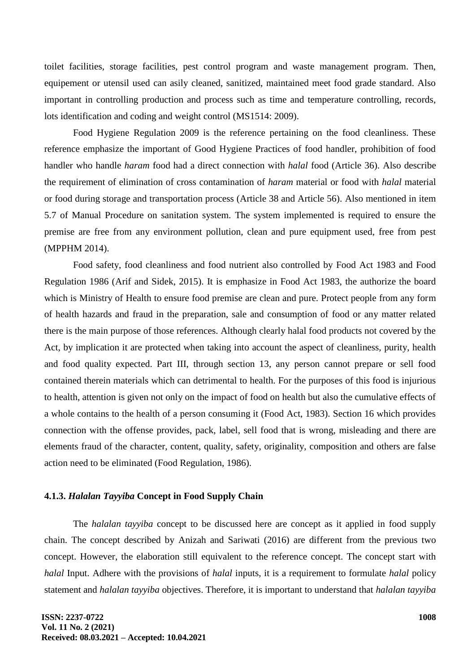toilet facilities, storage facilities, pest control program and waste management program. Then, equipement or utensil used can asily cleaned, sanitized, maintained meet food grade standard. Also important in controlling production and process such as time and temperature controlling, records, lots identification and coding and weight control (MS1514: 2009).

Food Hygiene Regulation 2009 is the reference pertaining on the food cleanliness. These reference emphasize the important of Good Hygiene Practices of food handler, prohibition of food handler who handle *haram* food had a direct connection with *halal* food (Article 36). Also describe the requirement of elimination of cross contamination of *haram* material or food with *halal* material or food during storage and transportation process (Article 38 and Article 56). Also mentioned in item 5.7 of Manual Procedure on sanitation system. The system implemented is required to ensure the premise are free from any environment pollution, clean and pure equipment used, free from pest (MPPHM 2014).

Food safety, food cleanliness and food nutrient also controlled by Food Act 1983 and Food Regulation 1986 (Arif and Sidek, 2015). It is emphasize in Food Act 1983, the authorize the board which is Ministry of Health to ensure food premise are clean and pure. Protect people from any form of health hazards and fraud in the preparation, sale and consumption of food or any matter related there is the main purpose of those references. Although clearly halal food products not covered by the Act, by implication it are protected when taking into account the aspect of cleanliness, purity, health and food quality expected. Part III, through section 13, any person cannot prepare or sell food contained therein materials which can detrimental to health. For the purposes of this food is injurious to health, attention is given not only on the impact of food on health but also the cumulative effects of a whole contains to the health of a person consuming it (Food Act, 1983). Section 16 which provides connection with the offense provides, pack, label, sell food that is wrong, misleading and there are elements fraud of the character, content, quality, safety, originality, composition and others are false action need to be eliminated (Food Regulation, 1986).

### **4.1.3.** *Halalan Tayyiba* **Concept in Food Supply Chain**

The *halalan tayyiba* concept to be discussed here are concept as it applied in food supply chain. The concept described by Anizah and Sariwati (2016) are different from the previous two concept. However, the elaboration still equivalent to the reference concept. The concept start with *halal* Input. Adhere with the provisions of *halal* inputs, it is a requirement to formulate *halal* policy statement and *halalan tayyiba* objectives. Therefore, it is important to understand that *halalan tayyiba*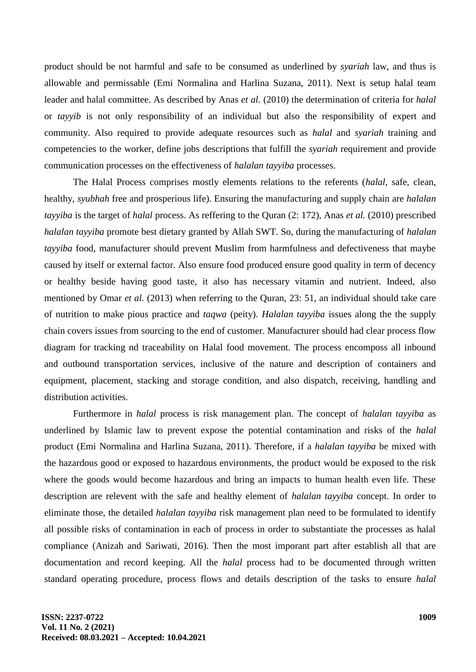product should be not harmful and safe to be consumed as underlined by *syariah* law, and thus is allowable and permissable (Emi Normalina and Harlina Suzana, 2011). Next is setup halal team leader and halal committee. As described by Anas *et al.* (2010) the determination of criteria for *halal* or *tayyib* is not only responsibility of an individual but also the responsibility of expert and community. Also required to provide adequate resources such as *halal* and *syariah* training and competencies to the worker, define jobs descriptions that fulfill the *syariah* requirement and provide communication processes on the effectiveness of *halalan tayyiba* processes.

The Halal Process comprises mostly elements relations to the referents (*halal*, safe, clean, healthy, *syubhah* free and prosperious life). Ensuring the manufacturing and supply chain are *halalan tayyiba* is the target of *halal* process. As reffering to the Quran (2: 172), Anas *et al.* (2010) prescribed *halalan tayyiba* promote best dietary granted by Allah SWT. So, during the manufacturing of *halalan tayyiba* food, manufacturer should prevent Muslim from harmfulness and defectiveness that maybe caused by itself or external factor. Also ensure food produced ensure good quality in term of decency or healthy beside having good taste, it also has necessary vitamin and nutrient. Indeed, also mentioned by Omar *et al.* (2013) when referring to the Quran, 23: 51, an individual should take care of nutrition to make pious practice and *taqwa* (peity). *Halalan tayyiba* issues along the the supply chain covers issues from sourcing to the end of customer. Manufacturer should had clear process flow diagram for tracking nd traceability on Halal food movement. The process encomposs all inbound and outbound transportation services, inclusive of the nature and description of containers and equipment, placement, stacking and storage condition, and also dispatch, receiving, handling and distribution activities.

Furthermore in *halal* process is risk management plan. The concept of *halalan tayyiba* as underlined by Islamic law to prevent expose the potential contamination and risks of the *halal* product (Emi Normalina and Harlina Suzana, 2011). Therefore, if a *halalan tayyiba* be mixed with the hazardous good or exposed to hazardous environments, the product would be exposed to the risk where the goods would become hazardous and bring an impacts to human health even life. These description are relevent with the safe and healthy element of *halalan tayyiba* concept. In order to eliminate those, the detailed *halalan tayyiba* risk management plan need to be formulated to identify all possible risks of contamination in each of process in order to substantiate the processes as halal compliance (Anizah and Sariwati, 2016). Then the most imporant part after establish all that are documentation and record keeping. All the *halal* process had to be documented through written standard operating procedure, process flows and details description of the tasks to ensure *halal*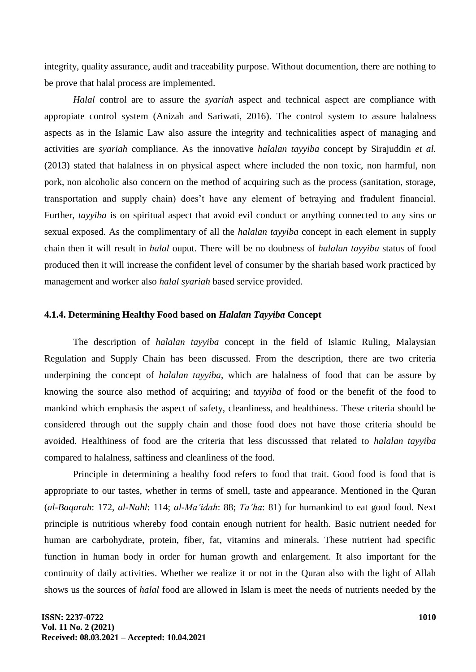integrity, quality assurance, audit and traceability purpose. Without documention, there are nothing to be prove that halal process are implemented.

*Halal* control are to assure the *syariah* aspect and technical aspect are compliance with appropiate control system (Anizah and Sariwati, 2016). The control system to assure halalness aspects as in the Islamic Law also assure the integrity and technicalities aspect of managing and activities are *syariah* compliance. As the innovative *halalan tayyiba* concept by Sirajuddin *et al.* (2013) stated that halalness in on physical aspect where included the non toxic, non harmful, non pork, non alcoholic also concern on the method of acquiring such as the process (sanitation, storage, transportation and supply chain) does't have any element of betraying and fradulent financial. Further, *tayyiba* is on spiritual aspect that avoid evil conduct or anything connected to any sins or sexual exposed. As the complimentary of all the *halalan tayyiba* concept in each element in supply chain then it will result in *halal* ouput. There will be no doubness of *halalan tayyiba* status of food produced then it will increase the confident level of consumer by the shariah based work practiced by management and worker also *halal syariah* based service provided.

#### **4.1.4. Determining Healthy Food based on** *Halalan Tayyiba* **Concept**

The description of *halalan tayyiba* concept in the field of Islamic Ruling, Malaysian Regulation and Supply Chain has been discussed. From the description, there are two criteria underpining the concept of *halalan tayyiba*, which are halalness of food that can be assure by knowing the source also method of acquiring; and *tayyiba* of food or the benefit of the food to mankind which emphasis the aspect of safety, cleanliness, and healthiness. These criteria should be considered through out the supply chain and those food does not have those criteria should be avoided. Healthiness of food are the criteria that less discusssed that related to *halalan tayyiba* compared to halalness, saftiness and cleanliness of the food.

Principle in determining a healthy food refers to food that trait. Good food is food that is appropriate to our tastes, whether in terms of smell, taste and appearance. Mentioned in the Quran (*al-Baqarah*: 172, *al-Nahl*: 114; *al-Ma'idah*: 88; *Ta'ha*: 81) for humankind to eat good food. Next principle is nutritious whereby food contain enough nutrient for health. Basic nutrient needed for human are carbohydrate, protein, fiber, fat, vitamins and minerals. These nutrient had specific function in human body in order for human growth and enlargement. It also important for the continuity of daily activities. Whether we realize it or not in the Quran also with the light of Allah shows us the sources of *halal* food are allowed in Islam is meet the needs of nutrients needed by the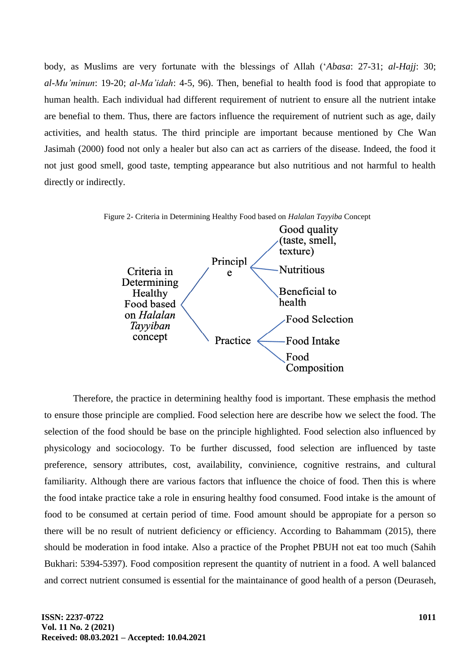body, as Muslims are very fortunate with the blessings of Allah (‗*Abasa*: 27-31; *al-Hajj*: 30; *al-Mu'minun*: 19-20; *al-Ma'idah*: 4-5, 96). Then, benefial to health food is food that appropiate to human health. Each individual had different requirement of nutrient to ensure all the nutrient intake are benefial to them. Thus, there are factors influence the requirement of nutrient such as age, daily activities, and health status. The third principle are important because mentioned by Che Wan Jasimah (2000) food not only a healer but also can act as carriers of the disease. Indeed, the food it not just good smell, good taste, tempting appearance but also nutritious and not harmful to health directly or indirectly.



Therefore, the practice in determining healthy food is important. These emphasis the method to ensure those principle are complied. Food selection here are describe how we select the food. The selection of the food should be base on the principle highlighted. Food selection also influenced by physicology and sociocology. To be further discussed, food selection are influenced by taste preference, sensory attributes, cost, availability, convinience, cognitive restrains, and cultural familiarity. Although there are various factors that influence the choice of food. Then this is where the food intake practice take a role in ensuring healthy food consumed. Food intake is the amount of food to be consumed at certain period of time. Food amount should be appropiate for a person so there will be no result of nutrient deficiency or efficiency. According to Bahammam (2015), there should be moderation in food intake. Also a practice of the Prophet PBUH not eat too much (Sahih Bukhari: 5394-5397). Food composition represent the quantity of nutrient in a food. A well balanced and correct nutrient consumed is essential for the maintainance of good health of a person (Deuraseh,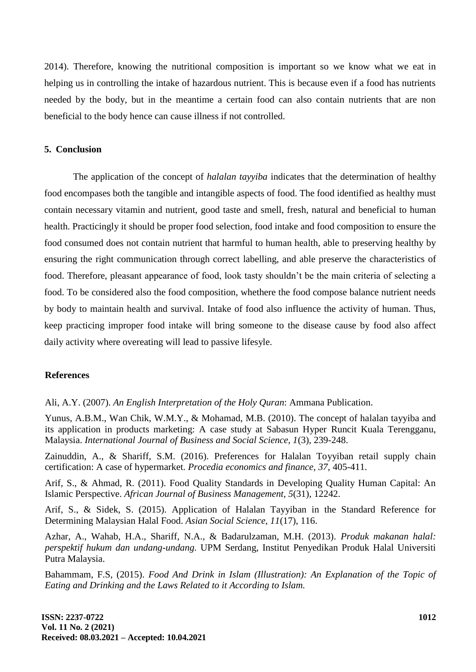2014). Therefore, knowing the nutritional composition is important so we know what we eat in helping us in controlling the intake of hazardous nutrient. This is because even if a food has nutrients needed by the body, but in the meantime a certain food can also contain nutrients that are non beneficial to the body hence can cause illness if not controlled.

## **5. Conclusion**

The application of the concept of *halalan tayyiba* indicates that the determination of healthy food encompases both the tangible and intangible aspects of food. The food identified as healthy must contain necessary vitamin and nutrient, good taste and smell, fresh, natural and beneficial to human health. Practicingly it should be proper food selection, food intake and food composition to ensure the food consumed does not contain nutrient that harmful to human health, able to preserving healthy by ensuring the right communication through correct labelling, and able preserve the characteristics of food. Therefore, pleasant appearance of food, look tasty shouldn't be the main criteria of selecting a food. To be considered also the food composition, whethere the food compose balance nutrient needs by body to maintain health and survival. Intake of food also influence the activity of human. Thus, keep practicing improper food intake will bring someone to the disease cause by food also affect daily activity where overeating will lead to passive lifesyle.

## **References**

Ali, A.Y. (2007). *An English Interpretation of the Holy Quran*: Ammana Publication.

Yunus, A.B.M., Wan Chik, W.M.Y., & Mohamad, M.B. (2010). The concept of halalan tayyiba and its application in products marketing: A case study at Sabasun Hyper Runcit Kuala Terengganu, Malaysia. *International Journal of Business and Social Science, 1*(3), 239-248.

Zainuddin, A., & Shariff, S.M. (2016). Preferences for Halalan Toyyiban retail supply chain certification: A case of hypermarket. *Procedia economics and finance, 37,* 405-411.

Arif, S., & Ahmad, R. (2011). Food Quality Standards in Developing Quality Human Capital: An Islamic Perspective. *African Journal of Business Management, 5*(31), 12242.

Arif, S., & Sidek, S. (2015). Application of Halalan Tayyiban in the Standard Reference for Determining Malaysian Halal Food. *Asian Social Science, 11*(17), 116.

Azhar, A., Wahab, H.A., Shariff, N.A., & Badarulzaman, M.H. (2013). *Produk makanan halal: perspektif hukum dan undang-undang.* UPM Serdang, Institut Penyedikan Produk Halal Universiti Putra Malaysia.

Bahammam, F.S, (2015). *Food And Drink in Islam (Illustration): An Explanation of the Topic of Eating and Drinking and the Laws Related to it According to Islam.*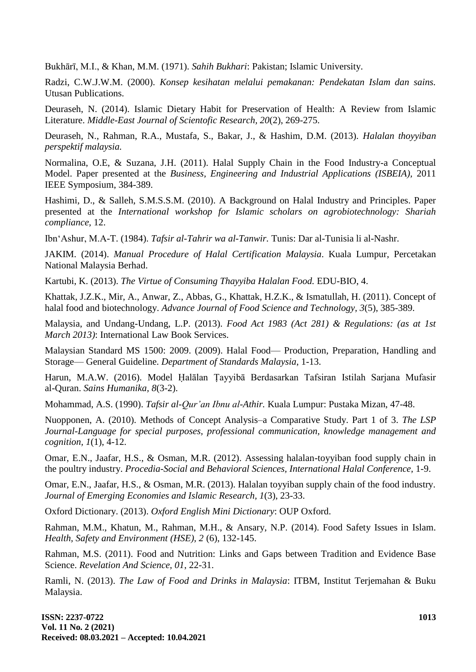Bukhārī, M.I., & Khan, M.M. (1971). *Sahih Bukhari*: Pakistan; Islamic University.

Radzi, C.W.J.W.M. (2000). *Konsep kesihatan melalui pemakanan: Pendekatan Islam dan sains.* Utusan Publications.

Deuraseh, N. (2014). Islamic Dietary Habit for Preservation of Health: A Review from Islamic Literature. *Middle-East Journal of Scientofic Research, 20*(2), 269-275.

Deuraseh, N., Rahman, R.A., Mustafa, S., Bakar, J., & Hashim, D.M. (2013). *Halalan thoyyiban perspektif malaysia.*

Normalina, O.E, & Suzana, J.H. (2011). Halal Supply Chain in the Food Industry-a Conceptual Model. Paper presented at the *Business, Engineering and Industrial Applications (ISBEIA),* 2011 IEEE Symposium, 384-389.

Hashimi, D., & Salleh, S.M.S.S.M. (2010). A Background on Halal Industry and Principles. Paper presented at the *International workshop for Islamic scholars on agrobiotechnology: Shariah compliance,* 12.

Ibn‗Ashur, M.A-T. (1984). *Tafsir al-Tahrir wa al-Tanwir.* Tunis: Dar al-Tunisia li al-Nashr.

JAKIM. (2014). *Manual Procedure of Halal Certification Malaysia*. Kuala Lumpur, Percetakan National Malaysia Berhad.

Kartubi, K. (2013). *The Virtue of Consuming Thayyiba Halalan Food.* EDU-BIO, 4.

Khattak, J.Z.K., Mir, A., Anwar, Z., Abbas, G., Khattak, H.Z.K., & Ismatullah, H. (2011). Concept of halal food and biotechnology. *Advance Journal of Food Science and Technology, 3*(5), 385-389.

Malaysia, and Undang-Undang, L.P. (2013). *Food Act 1983 (Act 281) & Regulations: (as at 1st March 2013)*: International Law Book Services.

Malaysian Standard MS 1500: 2009. (2009). Halal Food— Production, Preparation, Handling and Storage— General Guideline. *Department of Standards Malaysia*, 1-13.

Harun, M.A.W. (2016). Model Ḥalālan Ṭayyibā Berdasarkan Tafsiran Istilah Sarjana Mufasir al-Quran. *Sains Humanika, 8*(3-2).

Mohammad, A.S. (1990). *Tafsir al-Qur'an Ibnu al-Athir.* Kuala Lumpur: Pustaka Mizan, 47-48.

Nuopponen, A. (2010). Methods of Concept Analysis–a Comparative Study. Part 1 of 3. *The LSP Journal-Language for special purposes, professional communication, knowledge management and cognition, 1*(1), 4-12.

Omar, E.N., Jaafar, H.S., & Osman, M.R. (2012). Assessing halalan-toyyiban food supply chain in the poultry industry. *Procedia-Social and Behavioral Sciences, International Halal Conference,* 1-9.

Omar, E.N., Jaafar, H.S., & Osman, M.R. (2013). Halalan toyyiban supply chain of the food industry. *Journal of Emerging Economies and Islamic Research, 1*(3), 23-33.

Oxford Dictionary. (2013). *Oxford English Mini Dictionary*: OUP Oxford.

Rahman, M.M., Khatun, M., Rahman, M.H., & Ansary, N.P. (2014). Food Safety Issues in Islam. *Health, Safety and Environment (HSE), 2* (6), 132-145.

Rahman, M.S. (2011). Food and Nutrition: Links and Gaps between Tradition and Evidence Base Science. *Revelation And Science, 01*, 22-31.

Ramli, N. (2013). *The Law of Food and Drinks in Malaysia*: ITBM, Institut Terjemahan & Buku Malaysia.